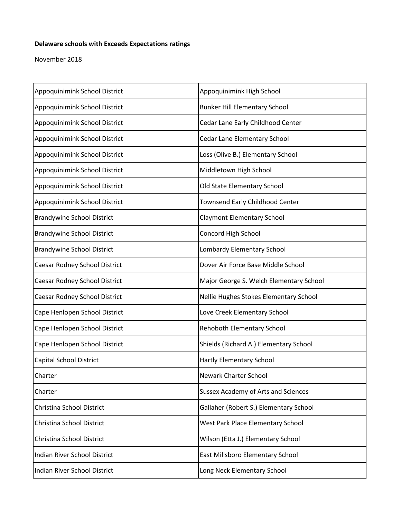## **Delaware schools with Exceeds Expectations ratings**

November 2018

| Appoquinimink School District     | Appoquinimink High School                  |
|-----------------------------------|--------------------------------------------|
| Appoquinimink School District     | <b>Bunker Hill Elementary School</b>       |
| Appoquinimink School District     | Cedar Lane Early Childhood Center          |
| Appoquinimink School District     | Cedar Lane Elementary School               |
| Appoquinimink School District     | Loss (Olive B.) Elementary School          |
| Appoquinimink School District     | Middletown High School                     |
| Appoquinimink School District     | Old State Elementary School                |
| Appoquinimink School District     | <b>Townsend Early Childhood Center</b>     |
| <b>Brandywine School District</b> | <b>Claymont Elementary School</b>          |
| <b>Brandywine School District</b> | Concord High School                        |
| <b>Brandywine School District</b> | Lombardy Elementary School                 |
| Caesar Rodney School District     | Dover Air Force Base Middle School         |
| Caesar Rodney School District     | Major George S. Welch Elementary School    |
| Caesar Rodney School District     | Nellie Hughes Stokes Elementary School     |
| Cape Henlopen School District     | Love Creek Elementary School               |
| Cape Henlopen School District     | Rehoboth Elementary School                 |
| Cape Henlopen School District     | Shields (Richard A.) Elementary School     |
| <b>Capital School District</b>    | Hartly Elementary School                   |
| Charter                           | Newark Charter School                      |
| Charter                           | <b>Sussex Academy of Arts and Sciences</b> |
| Christina School District         | Gallaher (Robert S.) Elementary School     |
| Christina School District         | West Park Place Elementary School          |
| Christina School District         | Wilson (Etta J.) Elementary School         |
| Indian River School District      | East Millsboro Elementary School           |
| Indian River School District      | Long Neck Elementary School                |